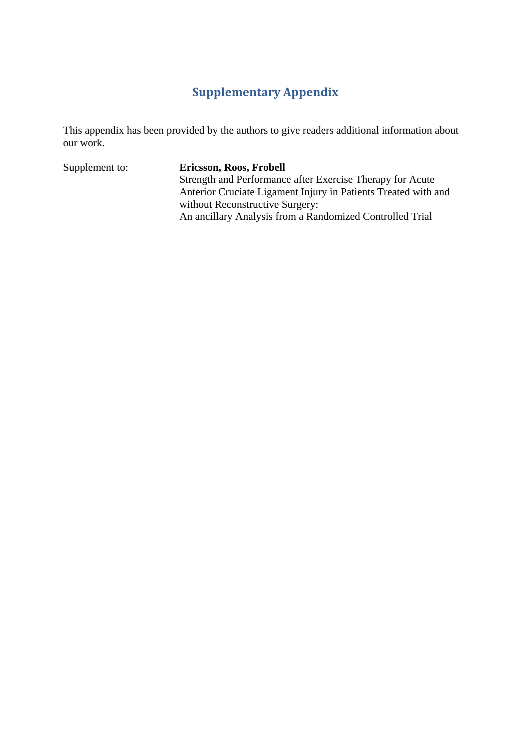# **Supplementary Appendix**

This appendix has been provided by the authors to give readers additional information about our work.

Supplement to: **Ericsson, Roos, Frobell** Strength and Performance after Exercise Therapy for Acute Anterior Cruciate Ligament Injury in Patients Treated with and without Reconstructive Surgery: An ancillary Analysis from a Randomized Controlled Trial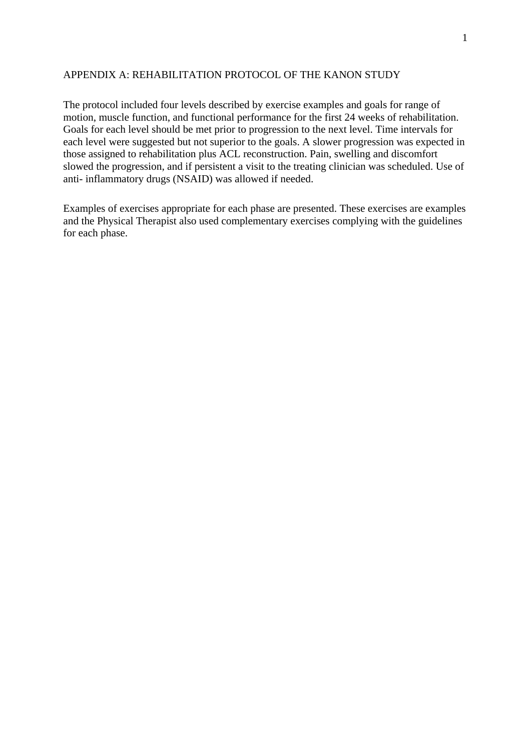#### APPENDIX A: REHABILITATION PROTOCOL OF THE KANON STUDY

The protocol included four levels described by exercise examples and goals for range of motion, muscle function, and functional performance for the first 24 weeks of rehabilitation. Goals for each level should be met prior to progression to the next level. Time intervals for each level were suggested but not superior to the goals. A slower progression was expected in those assigned to rehabilitation plus ACL reconstruction. Pain, swelling and discomfort slowed the progression, and if persistent a visit to the treating clinician was scheduled. Use of anti- inflammatory drugs (NSAID) was allowed if needed.

Examples of exercises appropriate for each phase are presented. These exercises are examples and the Physical Therapist also used complementary exercises complying with the guidelines for each phase.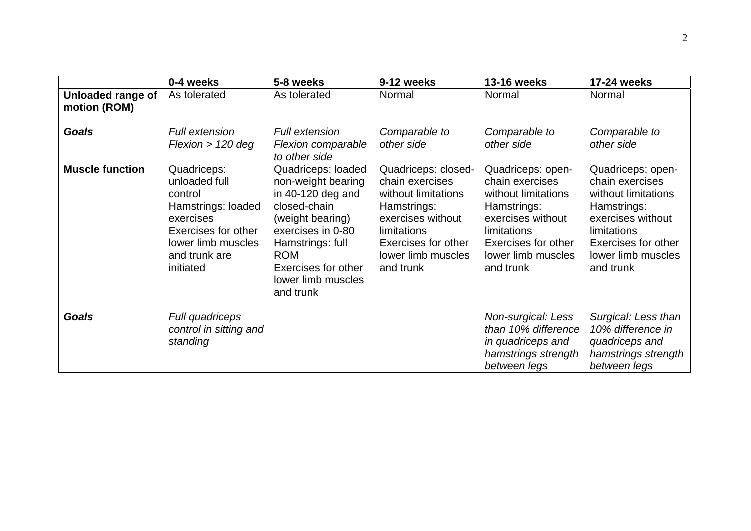|                                   | 0-4 weeks                                                                                                                                             | 5-8 weeks                                                                                                                                                                                                            | 9-12 weeks                                                                                                                                                                 | <b>13-16 weeks</b>                                                                                                                                                       | 17-24 weeks                                                                                                                                                              |
|-----------------------------------|-------------------------------------------------------------------------------------------------------------------------------------------------------|----------------------------------------------------------------------------------------------------------------------------------------------------------------------------------------------------------------------|----------------------------------------------------------------------------------------------------------------------------------------------------------------------------|--------------------------------------------------------------------------------------------------------------------------------------------------------------------------|--------------------------------------------------------------------------------------------------------------------------------------------------------------------------|
| Unloaded range of<br>motion (ROM) | As tolerated                                                                                                                                          | As tolerated                                                                                                                                                                                                         | Normal                                                                                                                                                                     | Normal                                                                                                                                                                   | Normal                                                                                                                                                                   |
| <b>Goals</b>                      | <b>Full extension</b><br>Flexion > 120 deg                                                                                                            | <b>Full extension</b><br>Flexion comparable<br>to other side                                                                                                                                                         | Comparable to<br>other side                                                                                                                                                | Comparable to<br>other side                                                                                                                                              | Comparable to<br>other side                                                                                                                                              |
| <b>Muscle function</b>            | Quadriceps:<br>unloaded full<br>control<br>Hamstrings: loaded<br>exercises<br>Exercises for other<br>lower limb muscles<br>and trunk are<br>initiated | Quadriceps: loaded<br>non-weight bearing<br>in $40-120$ deg and<br>closed-chain<br>(weight bearing)<br>exercises in 0-80<br>Hamstrings: full<br><b>ROM</b><br>Exercises for other<br>lower limb muscles<br>and trunk | Quadriceps: closed-<br>chain exercises<br>without limitations<br>Hamstrings:<br>exercises without<br>limitations<br>Exercises for other<br>lower limb muscles<br>and trunk | Quadriceps: open-<br>chain exercises<br>without limitations<br>Hamstrings:<br>exercises without<br>limitations<br>Exercises for other<br>lower limb muscles<br>and trunk | Quadriceps: open-<br>chain exercises<br>without limitations<br>Hamstrings:<br>exercises without<br>limitations<br>Exercises for other<br>lower limb muscles<br>and trunk |
| <b>Goals</b>                      | Full quadriceps<br>control in sitting and<br>standing                                                                                                 |                                                                                                                                                                                                                      |                                                                                                                                                                            | Non-surgical: Less<br>than 10% difference<br>in quadriceps and<br>hamstrings strength<br>between legs                                                                    | Surgical: Less than<br>10% difference in<br>quadriceps and<br>hamstrings strength<br>between legs                                                                        |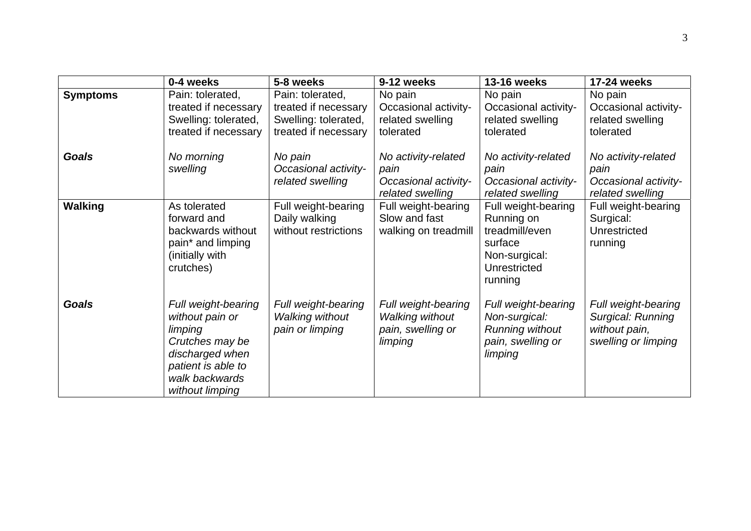|                 | 0-4 weeks                                                                                                                                          | 5-8 weeks                                                                                | 9-12 weeks                                                                    | <b>13-16 weeks</b>                                                                                         | 17-24 weeks                                                                      |
|-----------------|----------------------------------------------------------------------------------------------------------------------------------------------------|------------------------------------------------------------------------------------------|-------------------------------------------------------------------------------|------------------------------------------------------------------------------------------------------------|----------------------------------------------------------------------------------|
| <b>Symptoms</b> | Pain: tolerated,<br>treated if necessary<br>Swelling: tolerated,<br>treated if necessary                                                           | Pain: tolerated,<br>treated if necessary<br>Swelling: tolerated,<br>treated if necessary | No pain<br>Occasional activity-<br>related swelling<br>tolerated              | No pain<br>Occasional activity-<br>related swelling<br>tolerated                                           | No pain<br>Occasional activity-<br>related swelling<br>tolerated                 |
| <b>Goals</b>    | No morning<br>swelling                                                                                                                             | No pain<br><b>Occasional activity-</b><br>related swelling                               | No activity-related<br>pain<br>Occasional activity-<br>related swelling       | No activity-related<br>pain<br>Occasional activity-<br>related swelling                                    | No activity-related<br>pain<br>Occasional activity-<br>related swelling          |
| <b>Walking</b>  | As tolerated<br>forward and<br>backwards without<br>pain* and limping<br>(initially with<br>crutches)                                              | Full weight-bearing<br>Daily walking<br>without restrictions                             | Full weight-bearing<br>Slow and fast<br>walking on treadmill                  | Full weight-bearing<br>Running on<br>treadmill/even<br>surface<br>Non-surgical:<br>Unrestricted<br>running | Full weight-bearing<br>Surgical:<br>Unrestricted<br>running                      |
| <b>Goals</b>    | Full weight-bearing<br>without pain or<br>limping<br>Crutches may be<br>discharged when<br>patient is able to<br>walk backwards<br>without limping | Full weight-bearing<br><b>Walking without</b><br>pain or limping                         | Full weight-bearing<br><b>Walking without</b><br>pain, swelling or<br>limping | Full weight-bearing<br>Non-surgical:<br><b>Running without</b><br>pain, swelling or<br>limping             | Full weight-bearing<br>Surgical: Running<br>without pain,<br>swelling or limping |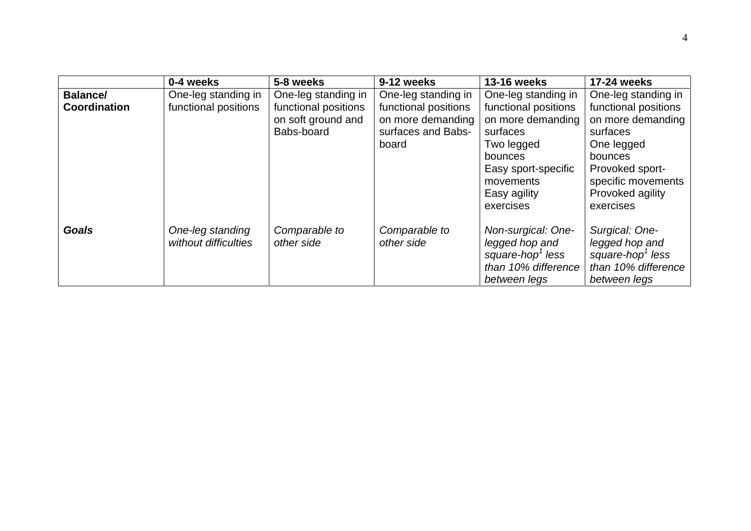|                 | 0-4 weeks                                | 5-8 weeks                                                | 9-12 weeks                                                               | <b>13-16 weeks</b>                                                                                                                              | 17-24 weeks                                                                                                                                              |
|-----------------|------------------------------------------|----------------------------------------------------------|--------------------------------------------------------------------------|-------------------------------------------------------------------------------------------------------------------------------------------------|----------------------------------------------------------------------------------------------------------------------------------------------------------|
| <b>Balance/</b> | One-leg standing in                      | One-leg standing in                                      | One-leg standing in                                                      | One-leg standing in                                                                                                                             | One-leg standing in                                                                                                                                      |
| Coordination    | functional positions                     | functional positions<br>on soft ground and<br>Babs-board | functional positions<br>on more demanding<br>surfaces and Babs-<br>board | functional positions<br>on more demanding<br>surfaces<br>Two legged<br>bounces<br>Easy sport-specific<br>movements<br>Easy agility<br>exercises | functional positions<br>on more demanding<br>surfaces<br>One legged<br>bounces<br>Provoked sport-<br>specific movements<br>Provoked agility<br>exercises |
| <b>Goals</b>    | One-leg standing<br>without difficulties | Comparable to<br>other side                              | Comparable to<br>other side                                              | Non-surgical: One-<br>legged hop and<br>square-hop <sup>1</sup> less<br>than 10% difference<br>between legs                                     | Surgical: One-<br>legged hop and<br>square-hop <sup>1</sup> less<br>than 10% difference<br>between legs                                                  |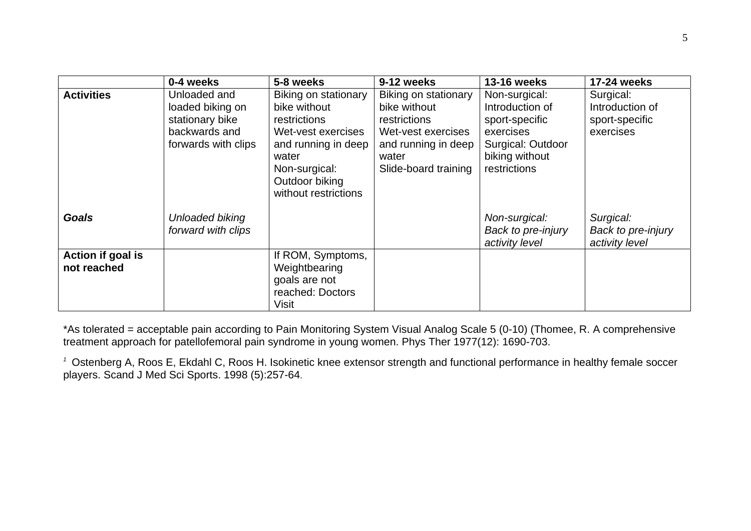|                                  | 0-4 weeks                                                                                   | 5-8 weeks                                                                                                                                                             | 9-12 weeks                                                                                                                         | <b>13-16 weeks</b>                                                                                                     | 17-24 weeks                                                 |
|----------------------------------|---------------------------------------------------------------------------------------------|-----------------------------------------------------------------------------------------------------------------------------------------------------------------------|------------------------------------------------------------------------------------------------------------------------------------|------------------------------------------------------------------------------------------------------------------------|-------------------------------------------------------------|
| <b>Activities</b>                | Unloaded and<br>loaded biking on<br>stationary bike<br>backwards and<br>forwards with clips | Biking on stationary<br>bike without<br>restrictions<br>Wet-vest exercises<br>and running in deep<br>water<br>Non-surgical:<br>Outdoor biking<br>without restrictions | Biking on stationary<br>bike without<br>restrictions<br>Wet-vest exercises<br>and running in deep<br>water<br>Slide-board training | Non-surgical:<br>Introduction of<br>sport-specific<br>exercises<br>Surgical: Outdoor<br>biking without<br>restrictions | Surgical:<br>Introduction of<br>sport-specific<br>exercises |
| <b>Goals</b>                     | Unloaded biking<br>forward with clips                                                       |                                                                                                                                                                       |                                                                                                                                    | Non-surgical:<br>Back to pre-injury<br>activity level                                                                  | Surgical:<br>Back to pre-injury<br>activity level           |
| Action if goal is<br>not reached |                                                                                             | If ROM, Symptoms,<br>Weightbearing<br>goals are not<br>reached: Doctors<br>Visit                                                                                      |                                                                                                                                    |                                                                                                                        |                                                             |

\*As tolerated = acceptable pain according to Pain Monitoring System Visual Analog Scale 5 (0-10) (Thomee, R. A comprehensive treatment approach for patellofemoral pain syndrome in young women. Phys Ther 1977(12): 1690-703.

*1* Ostenberg A, Roos E, Ekdahl C, Roos H. Isokinetic knee extensor strength and functional performance in healthy female soccer players. Scand J Med Sci Sports. 1998 (5):257-64.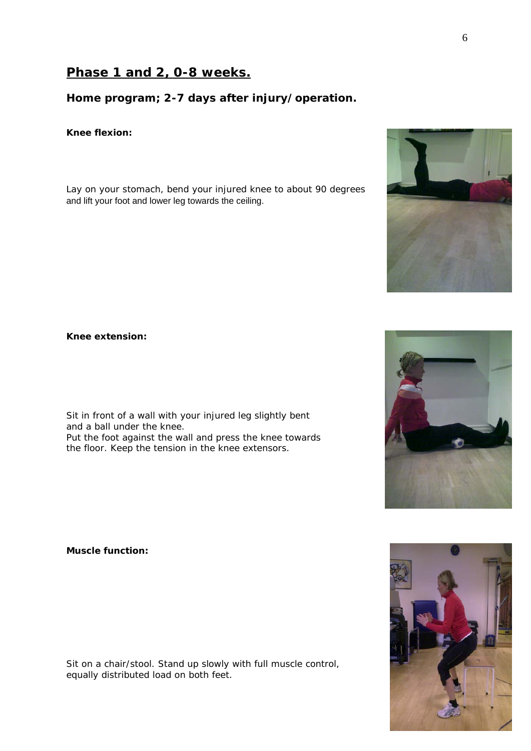# **Phase 1 and 2, 0-8 weeks.**

### **Home program; 2-7 days after injury/operation.**

#### *Knee flexion:*

Lay on your stomach, bend your injured knee to about 90 degrees and lift your foot and lower leg towards the ceiling.

*Knee extension:*

Sit in front of a wall with your injured leg slightly bent and a ball under the knee. Put the foot against the wall and press the knee towards the floor. Keep the tension in the knee extensors.

*Muscle function:*

Sit on a chair/stool. Stand up slowly with full muscle control, equally distributed load on both feet.







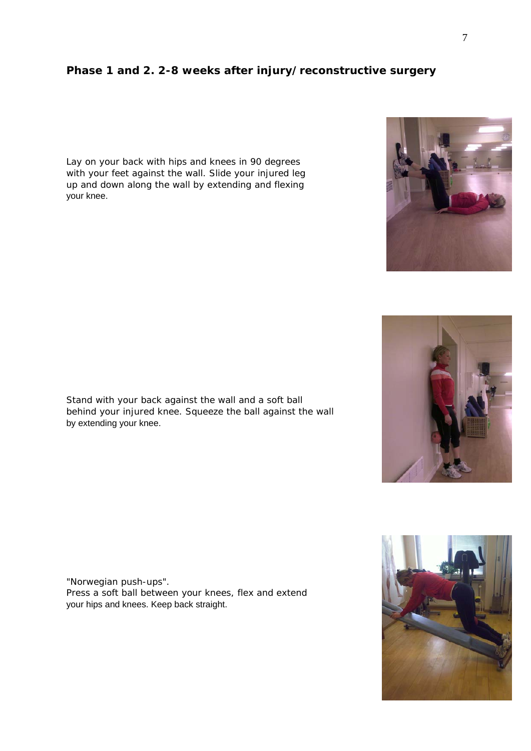### **Phase 1 and 2. 2-8 weeks after injury/reconstructive surgery**

Lay on your back with hips and knees in 90 degrees with your feet against the wall. Slide your injured leg up and down along the wall by extending and flexing your knee.

Stand with your back against the wall and a soft ball behind your injured knee. Squeeze the ball against the wall by extending your knee.

"Norwegian push-ups". Press a soft ball between your knees, flex and extend your hips and knees. Keep back straight.







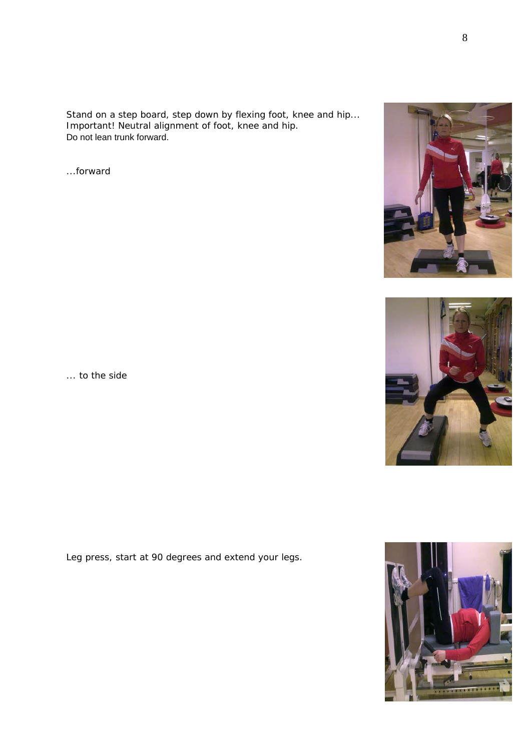Stand on a step board, step down by flexing foot, knee and hip... Important! Neutral alignment of foot, knee and hip. Do not lean trunk forward.

...forward



Leg press, start at 90 degrees and extend your legs.





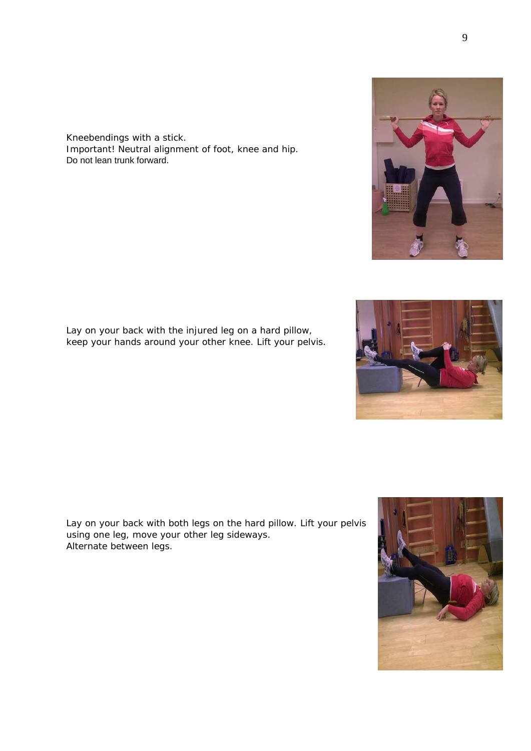Kneebendings with a stick. Important! Neutral alignment of foot, knee and hip. Do not lean trunk forward.

Lay on your back with the injured leg on a hard pillow, keep your hands around your other knee. Lift your pelvis.

Lay on your back with both legs on the hard pillow. Lift your pelvis using one leg, move your other leg sideways. Alternate between legs.







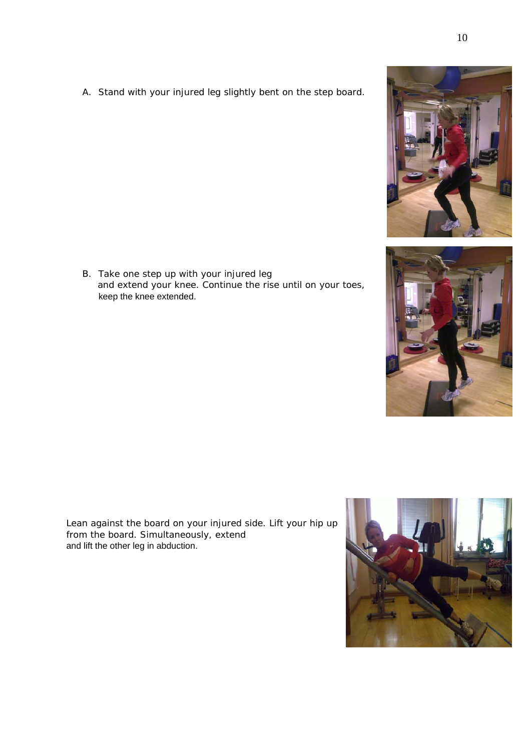A. Stand with your injured leg slightly bent on the step board.





B. Take one step up with your injured leg and extend your knee. Continue the rise until on your toes, keep the knee extended.

Lean against the board on your injured side. Lift your hip up from the board. Simultaneously, extend and lift the other leg in abduction.

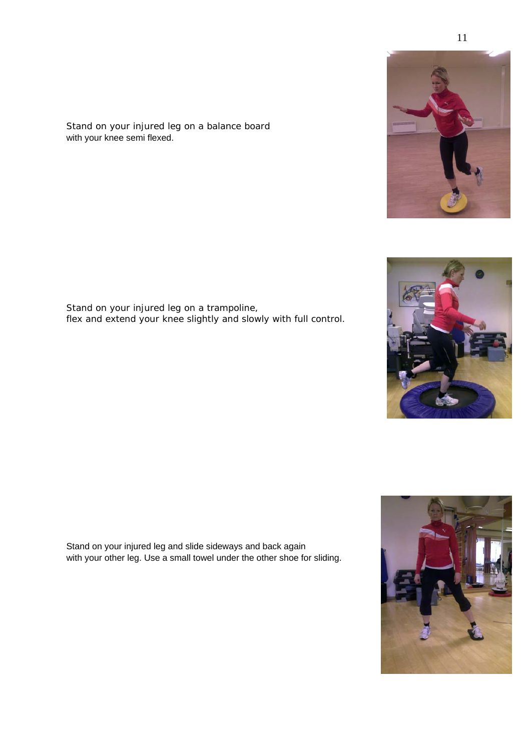Stand on your injured leg on a balance board with your knee semi flexed.

Stand on your injured leg on a trampoline, flex and extend your knee slightly and slowly with full control.

Stand on your injured leg and slide sideways and back again with your other leg. Use a small towel under the other shoe for sliding.





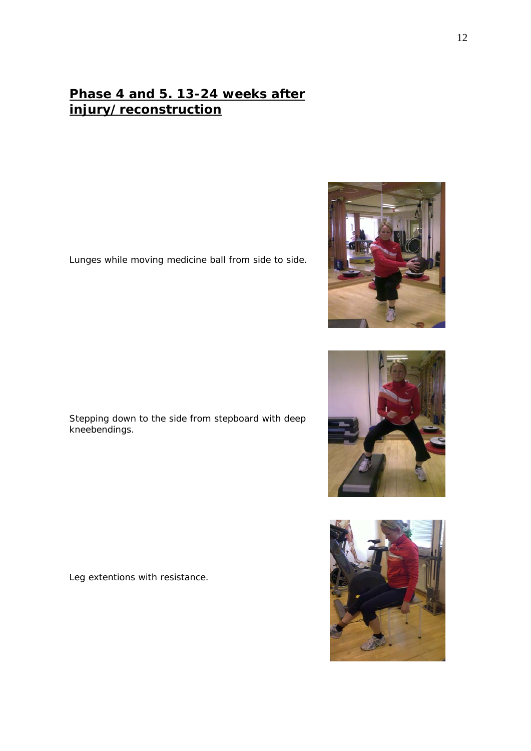# **Phase 4 and 5. 13-24 weeks after injury/reconstruction**

Lunges while moving medicine ball from side to side.

Stepping down to the side from stepboard with deep kneebendings.

Leg extentions with resistance.